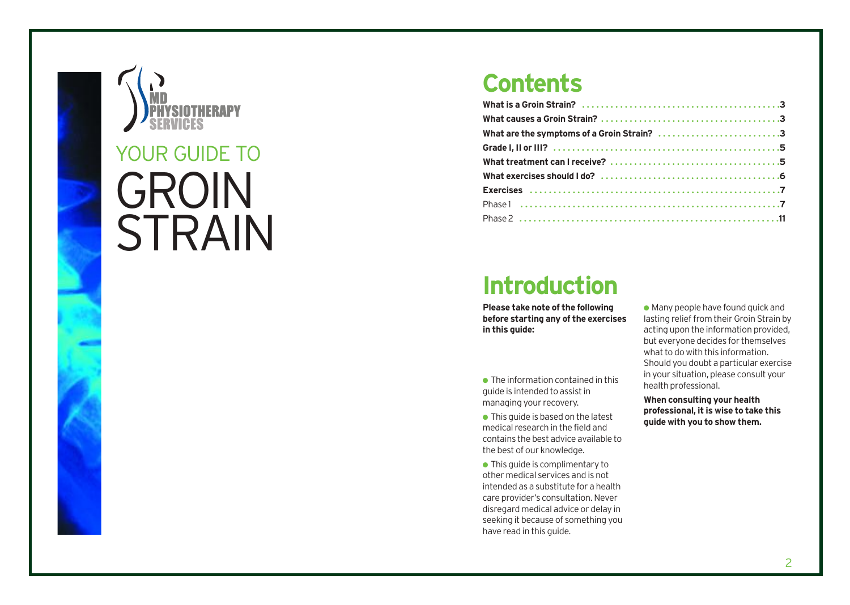

### **Contents**

| What are the symptoms of a Groin Strain? 3 |
|--------------------------------------------|
|                                            |
|                                            |
|                                            |
|                                            |
|                                            |
|                                            |

# **Introduction**

**Please take note of the following be fore starting any of the exercises in this guide:**

- The information contained in this guide is intended to assist in managing your rec overy.
- This guide is based on the latest medical research in the field and contains the best advice available to the be st of our knowledge.
- This guide is complimentary to other medical services and is not in tended as a sub stitute for a health care provider's consultation. Never disregard medical advice or delay in seeking it because of something you have read in this guide.

 $\bullet$  Many people have found quick and lasting relief from their Groin Strain by acting upon the in formation pr ovided, but everyone decides for themselves what to do with this in formation. Should you doubt a particular exercise in your situation, please consult your health professional.

**When consulting your health professional, it is wise to take this guide with you to show them.**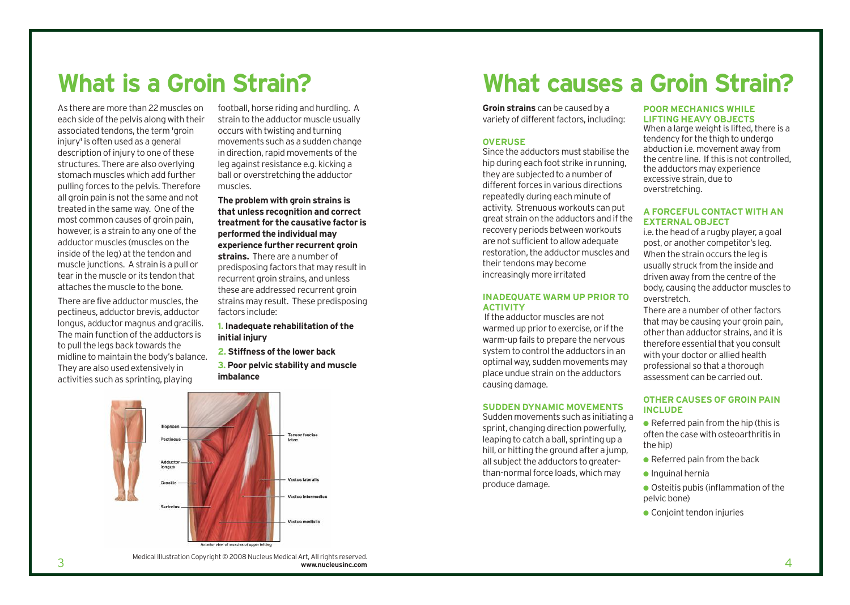As there are more than 22 muscles on each side of the pelvis along with their associated tendons, the term 'groin injury' is often used as a general description of injury to one of these structures. There are also overlying stomach muscles which add further pulling forces to the pelvis. Therefore all groin pain is not the same and not treated in the same way. One of the most common causes of groin pain, however, is a strain to any one of the adductor muscles (muscles on the inside of the leg) at the tendon and muscle junctions. A strain is a pull or tear in the muscle or its tendon that attaches the muscle to the bone.

There are five adductor muscles, the pectineus, adductor brevis, adductor longus, adductor magnus and gracilis. The main function of the adductors is to pull the legs back towards the midline to maintain the body's balance. They are also used extensively in activities such as sprinting, playing

football, horse riding and hurdling. A strain to the adductor muscle usually occurs with twisting and turning movements such as a sudden change in direction, rapid movements of the leg against resistance e.g. kicking a ball or overstretching the adductor muscles.

**The problem with groin strains is that unless recognition and correct treatment for the causative factor is performed the individual may experience further recurrent groin strains.** There are a number of predisposing factors that may result in recurrent groin strains, and unless these are addressed recurrent groin strains may result. These predisposing factors include:

#### **1. Inadequate rehabilitation of the initial injury**

**2. Stiffness of the lower back**

**3. Poor pelvic stability and muscle imbalance**



**What is a Groin Strain? What causes a Groin Strain?**

**Groin strains** can be caused by a variety of different factors, including:

#### **OVERUSE**

Since the adductors must stabilise the hip during each foot strike in running, they are subjected to a number of different forces in various directions repeatedly during each minute of activity. Strenuous workouts can put great strain on the adductors and if the recovery periods between workouts are not sufficient to allow adequate restoration, the adductor muscles and their tendons may become increasingly more irritated

#### **INADEQUATE WARM UP PRIOR TO ACTIVITY**

If the adductor muscles are not warmed up prior to exercise, or if the warm-up fails to prepare the nervous system to control the adductors in an optimal way, sudden movements may place undue strain on the adductors causing damage.

#### **SUDDEN DYNAMIC MOVEMENTS**

Sudden movements such as initiating a sprint, changing direction powerfully, leaping to catch a ball, sprinting up a hill, or hitting the ground after a jump, all subject the adductors to greaterthan-normal force loads, which may produce damage.

#### **POOR MECHANICS WHILE LIFTING HEAVY OBJECTS**

When a large weight is lifted, there is a tendency for the thigh to undergo abduction i.e. movement away from the centre line. If this is not controlled, the adductors may experience excessive strain, due to overstretching.

#### **A FORCEFUL CONTACT WITH AN EXTERNAL OBJECT**

i.e. the head of a rugby player, a goal post, or another competitor's leg. When the strain occurs the leg is usually struck from the inside and driven away from the centre of the body, causing the adductor muscles to overstretch.

There are a number of other factors that may be causing your groin pain, other than adductor strains, and it is therefore essential that you consult with your doctor or allied health professional so that a thorough assessment can be carried out.

#### **OTHER CAUSES OF GROIN PAIN INCLUDE**

 $\bullet$  Referred pain from the hip (this is often the case with osteoarthritis in the hip)

- $\bullet$  Referred pain from the back
- $\bullet$  Inquinal hernia
- Osteitis pubis (inflammation of the pelvic bone)
- Conjoint tendon injuries

3 Medical Illustration Copyright © 2008 Nucleus Medical Art, All rights reserved. **www.nucleusinc.com**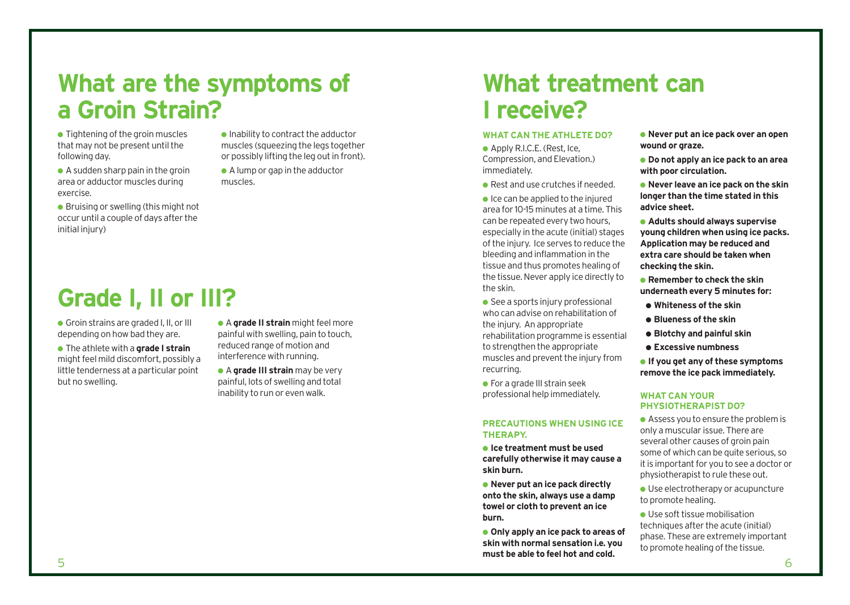# **What are the symptoms of a Groin Strain?**

muscles.

- $\bullet$  Tightening of the groin muscles that may not be present until the following day.
- $\bullet$  A sudden sharp pain in the groin area or adductor muscles during exercise.
- Bruising or swelling (this might not occur until a couple of days after the initial injury)
	-

# **Grade I, II or III?**

● Groin strains are graded I, II, or III depending on how bad they are.

- The athlete with a **grade I strain** might feel mild discomfort, possibly a little tenderness at a particular point but no swelling.
- A **grade II strain** might feel more painful with swelling, pain to touch, reduced range of motion and interference with running.

 $\bullet$  Inability to contract the adductor muscles (squeezing the legs together or possibly lifting the leg out in front).  $\bullet$  A lump or gap in the adductor

● A **grade III strain** may be very painful, lots of swelling and total inability to run or even walk.

# **What treatment can I receive?**

#### **WHAT CAN THE ATHLETE DO?**

- Apply R.I.C.E. (Rest, Ice, Compression, and Elevation.) immediately.
- Rest and use crutches if needed.
- $\bullet$  Ice can be applied to the injured area for 10-15 minutes at a time. This can be repeated every two hours, especially in the acute (initial) stages of the injury. Ice serves to reduce the bleeding and inflammation in the tissue and thus promotes healing of the tissue. Never apply ice directly to the skin.
- $\bullet$  See a sports injury professional who can advise on rehabilitation of the injury. An appropriate rehabilitation programme is essential to strengthen the appropriate muscles and prevent the injury from recurring.
- $\bullet$  For a grade III strain seek professional help immediately.

#### **PRECAUTIONS WHEN USING ICE THERAPY.**

- **Ice treatment must be used carefully otherwise it may cause a skin burn.**
- **Never put an ice pack directly onto the skin, always use a damp towel or cloth to prevent an ice burn.**
- $5$  6 ● **Only apply an ice pack to areas of skin with normal sensation i.e. you must be able to feel hot and cold.**
- **Never put an ice pack over an open wound or graze.**
- **Do not apply an ice pack to an area with poor circulation.**
- **Never leave an ice pack on the skin longer than the time stated in this advice sheet.**
- **Adults should always supervise young children when using ice packs. Application may be reduced and extra care should be taken when checking the skin.**
- **Remember to check the skin underneath every 5 minutes for:**
- **Whiteness of the skin**
- **Blueness of the skin**
- **Blotchy and painful skin**
- **Excessive numbness**
- **If you get any of these symptoms remove the ice pack immediately.**

#### **WHAT CAN YOUR PHYSIOTHERAPIST DO?**

- Assess you to ensure the problem is only a muscular issue. There are several other causes of groin pain some of which can be quite serious, so it is important for you to see a doctor or physiotherapist to rule these out.
- Use electrotherapy or acupuncture to promote healing.
- Use soft tissue mobilisation techniques after the acute (initial) phase. These are extremely important to promote healing of the tissue.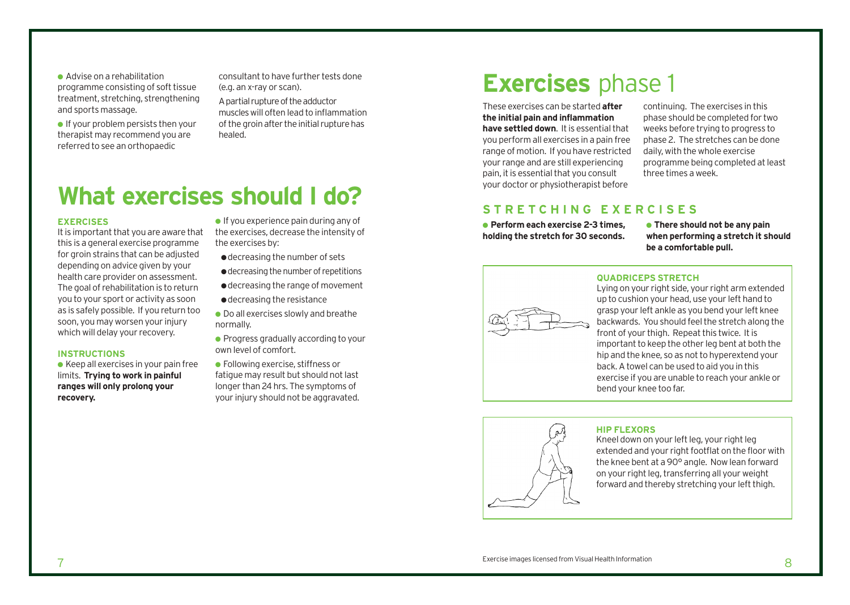● Advise on a rehabilitation programme consisting of soft tissue treatment, stretching, strengthening and sports massage.

 $\bullet$  If your problem persists then your therapist may recommend you are referred to see an orthopaedic

consultant to have further tests done (e.g. an x-ray or scan). A partial rupture of the adductor muscleswill often lead to inflammation of the groin after the initial rupture has healed.

### **What exercises should I do?**

#### **EXERCISES**

It is important that you are aware that this is a general exercise programme for groin strains that can be adjusted depending on advice given by your health care provider on assessment. The goal of rehabilitation is to return you to your sport or activity as soon as is safely possible. If you return too soon, you may worsen your injury which will delay your recovery.

#### **INSTRUCTIONS**

 $\bullet$  Keep all exercises in your pain free limits. **Trying to work in painful ranges will only prolong your recovery.**

 $\bullet$  If you experience pain during any of the exercises, decrease the intensity of the exercises by:

- ●decreasing the number of sets
- ●decreasing the number of repetitions
- ●decreasing the range of movement
- ●decreasing the resistance
- Do all exercises slowly and breathe normally.
- Progress gradually according to your own level of comfort.
- Following exercise, stiffness or fatigue may result but should not last longer than 24 hrs. The symptoms of your injury should not be aggravated.

### **Exercises** phase 1

These exercises can be started **after the initial pain and inflammation have settled down**. It is essential that you perform all exercises in a pain free range of motion. If you have restricted your range and are still experiencing pain, it is essential that you consult your doctor or physiotherapist before

continuing. The exercises in this phase should be completed for two weeks before trying to progress to phase 2. The stretches can be done daily, with the whole exercise programme being completed at least three times a week.

#### **STRETCHING EXERCISES**

● **Perform each exercise 2-3 times, holding the stretch for 30 seconds.** 

● **There should not be any pain when performing a stretch it should be a comfortable pull.**



#### **QUADRICEPS STRETCH**

Lying on your right side, your right arm extended up to cushion your head, use your left hand to grasp your left ankle as you bend your left knee backwards. You should feel the stretch along the front of your thigh. Repeat this twice. It is important to keep the other leg bent at both the hip and the knee, so as not to hyperextend your back. A towel can be used to aid you in this exercise if you are unable to reach your ankle or bend your knee too far.



#### **HIP FLEXORS**

Kneel down on your left leg, your right leg extended and your right footflat on the floor with the knee bent at a 90° angle. Now lean forward on your right leg, transferring all your weight forward and thereby stretching your left thigh.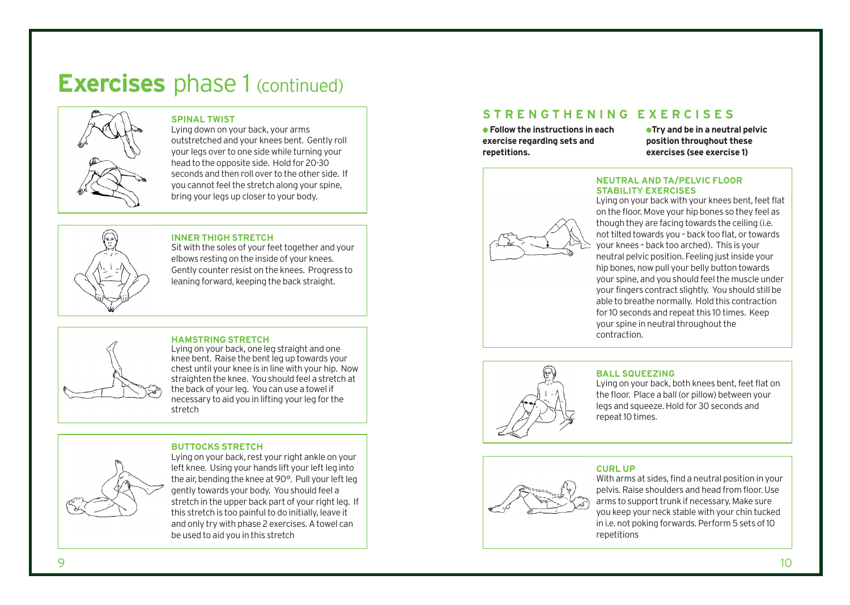### **Exercises** phase 1 (continued)



#### **SPINAL TWIST**

Lying down on your back, your arms outstretched and your knees bent. Gently roll your legs over to one side while turning your head to the opposite side. Hold for 20-30 seconds and then roll over to the other side. If you cannot feel the stretch along your spine, bring your legs up closer to your body.



#### **INNER THIGH STRETCH**

Sit with the soles of your feet together and your elbows resting on the inside of your knees. Gently counter resist on the knees. Progress to leaning forward, keeping the back straight.

### **HAMSTRING STRETCH**

Lying on your back, one leg straight and one knee bent. Raise the bent leg up towards your chest until your knee is in line with your hip. Now straighten the knee. You should feel a stretch at the back of your leg. You can use a towel if necessary to aid you in lifting your leg for the stretch

#### **BUTTOCKS STRETCH**

Lying on your back, rest your right ankle on your left knee. Using your hands lift your left leg into the air, bending the knee at 90°. Pull your left leg gently towards your body. You should feel a stretch in the upper back part of your right leg. If this stretch is too painful to do initially, leave it and only try with phase 2 exercises. A towel can be used to aid you in this stretch

### **STRENGTHENING EXERCISES**

● **Follow the instructions in each exercise regarding sets and repetitions.**

●**Try and be in a neutral pelvic position throughout these exercises (see exercise 1)**



#### **NEUTRAL AND TA/PELVIC FLOOR STABILITY EXERCISES**

Lying on your back with your knees bent, feet flat on the floor. Move your hip bones so they feel as though they are facing towards the ceiling (i.e. not tilted towards you – back too flat, or towards your knees – back too arched). This is your neutral pelvic position. Feeling just inside your hip bones, now pull your belly button towards your spine, and you should feel the muscle under your fingers contract slightly. You should still be able to breathe normally. Hold this contraction for 10 seconds and repeat this 10 times. Keep your spine in neutral throughout the contraction.



### **BALL SQUEEZING**

Lying on your back, both knees bent, feet flat on the floor. Place a ball (or pillow) between your legs and squeeze. Hold for 30 seconds and repeat 10 times.



#### **CURL UP**

With arms at sides, find a neutral position in your pelvis. Raise shoulders and head from floor. Use arms to support trunk if necessary. Make sure you keep your neck stable with your chin tucked in i.e. not poking forwards. Perform 5 sets of 10 repetitions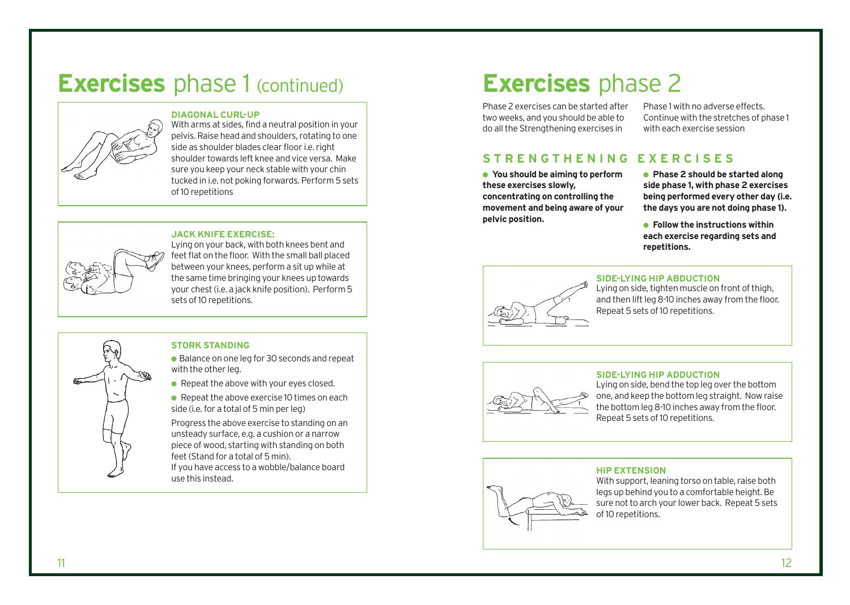### **Exercises** phase 1 (continued)

#### **DIAGONAL CURL-UP**



With arms at sides, find a neutral position in your pelvis. Raise head and shoulders, rotating to one side as shoulder blades clear floor i.e. right shoulder towards left knee and vice versa. Make sure you keep your neck stable with your chin tucked in i.e. not poking forwards. Perform 5 sets of 10 repetitions

#### **JACK KNIFE EXERCISE:**



Lying on your back, with both knees bent and feet flat on the floor. With the small ball placed between your knees, perform a sit up while at the same time bringing your knees up towards your chest (i.e. a jack knife position). Perform 5 sets of 10 repetitions.

### **STORK STANDING**

- Balance on one leg for 30 seconds and repeat with the other leg.
- $\bullet$  Repeat the above with your eyes closed.
- $\bullet$  Repeat the above exercise 10 times on each side (i.e. for a total of 5 min per leg)

Progress the above exercise to standing on an unsteady surface, e.g. a cushion or a narrow piece of wood, starting with standing on both feet (Stand for a total of 5 min). If you have access to a wobble/balance board use this instead.

# **Exercises** phase 2

Phase 2 exercises can be started after two weeks, and you should be able to do all the Strengthening exercises in

Phase 1 with no adverse effects. Continue with the stretches of phase 1 with each exercise session

### **STRENGTHENING EXERCISES**

- **You should be aiming to perform these exercises slowly, concentrating on controlling the movement and being aware of your pelvic position.**
- **Phase 2 should be started along side phase 1, with phase 2 exercises being performed every other day (i.e. the days you are not doing phase 1).**
- **Follow the instructions within each exercise regarding sets and repetitions.**



#### **SIDE-LYING HIP ABDUCTION**

Lying on side, tighten muscle on front of thigh, and then lift leg 8-10 inches away from the floor. Repeat 5 sets of 10 repetitions.



#### **SIDE-LYING HIP ADDUCTION**

Lying on side, bend the top leg over the bottom one, and keep the bottom leg straight. Now raise the bottom leg 8-10 inches away from the floor. Repeat 5 sets of 10 repetitions.

#### **HIP EXTENSION**

With support, leaning torso on table, raise both legs up behind you to a comfortable height. Be sure not to arch your lower back. Repeat 5 sets of 10 repetitions.